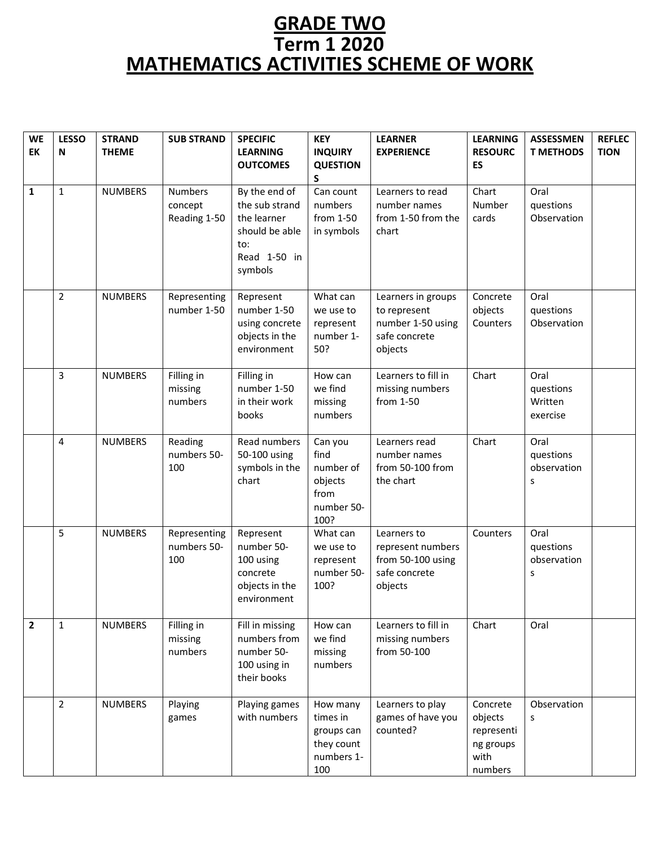## **GRADE TWO Term 1 2020 MATHEMATICS ACTIVITIES SCHEME OF WORK**

| <b>WE</b>      | <b>LESSO</b>   | <b>STRAND</b>  | <b>SUB STRAND</b> | <b>SPECIFIC</b>               | <b>KEY</b>               | <b>LEARNER</b>      | <b>LEARNING</b>   | <b>ASSESSMEN</b> | <b>REFLEC</b> |
|----------------|----------------|----------------|-------------------|-------------------------------|--------------------------|---------------------|-------------------|------------------|---------------|
| EK             | N              | <b>THEME</b>   |                   | <b>LEARNING</b>               | <b>INQUIRY</b>           | <b>EXPERIENCE</b>   | <b>RESOURC</b>    | <b>T METHODS</b> | <b>TION</b>   |
|                |                |                |                   | <b>OUTCOMES</b>               | <b>QUESTION</b>          |                     | ES                |                  |               |
|                |                |                |                   |                               | S.                       |                     |                   |                  |               |
| $\mathbf{1}$   | $\mathbf{1}$   | <b>NUMBERS</b> | <b>Numbers</b>    | By the end of                 | Can count                | Learners to read    | Chart             | Oral             |               |
|                |                |                | concept           | the sub strand                | numbers                  | number names        | Number            | questions        |               |
|                |                |                | Reading 1-50      | the learner<br>should be able | from 1-50                | from 1-50 from the  | cards             | Observation      |               |
|                |                |                |                   | to:                           | in symbols               | chart               |                   |                  |               |
|                |                |                |                   | Read 1-50 in                  |                          |                     |                   |                  |               |
|                |                |                |                   | symbols                       |                          |                     |                   |                  |               |
|                |                |                |                   |                               |                          |                     |                   |                  |               |
|                | $\overline{2}$ | <b>NUMBERS</b> | Representing      | Represent                     | What can                 | Learners in groups  | Concrete          | Oral             |               |
|                |                |                | number 1-50       | number 1-50                   | we use to                | to represent        | objects           | questions        |               |
|                |                |                |                   | using concrete                | represent                | number 1-50 using   | Counters          | Observation      |               |
|                |                |                |                   | objects in the                | number 1-                | safe concrete       |                   |                  |               |
|                |                |                |                   | environment                   | 50?                      | objects             |                   |                  |               |
|                | $\overline{3}$ | <b>NUMBERS</b> | Filling in        | Filling in                    | How can                  | Learners to fill in | Chart             | Oral             |               |
|                |                |                | missing           | number 1-50                   | we find                  | missing numbers     |                   | questions        |               |
|                |                |                | numbers           | in their work                 | missing                  | from 1-50           |                   | Written          |               |
|                |                |                |                   | books                         | numbers                  |                     |                   | exercise         |               |
|                | $\overline{4}$ | <b>NUMBERS</b> | Reading           | Read numbers                  | Can you                  | Learners read       | Chart             | Oral             |               |
|                |                |                | numbers 50-       | 50-100 using                  | find                     | number names        |                   | questions        |               |
|                |                |                | 100               | symbols in the                | number of                | from 50-100 from    |                   | observation      |               |
|                |                |                |                   | chart                         | objects                  | the chart           |                   | S                |               |
|                |                |                |                   |                               | from<br>number 50-       |                     |                   |                  |               |
|                |                |                |                   |                               | 100?                     |                     |                   |                  |               |
|                | 5              | <b>NUMBERS</b> | Representing      | Represent                     | What can                 | Learners to         | Counters          | Oral             |               |
|                |                |                | numbers 50-       | number 50-                    | we use to                | represent numbers   |                   | questions        |               |
|                |                |                | 100               | 100 using                     | represent                | from 50-100 using   |                   | observation      |               |
|                |                |                |                   | concrete                      | number 50-<br>100?       | safe concrete       |                   | s                |               |
|                |                |                |                   | objects in the<br>environment |                          | objects             |                   |                  |               |
|                |                |                |                   |                               |                          |                     |                   |                  |               |
| $\overline{2}$ | $\mathbf{1}$   | <b>NUMBERS</b> | Filling in        | Fill in missing               | How can                  | Learners to fill in | Chart             | Oral             |               |
|                |                |                | missing           | numbers from                  | we find                  | missing numbers     |                   |                  |               |
|                |                |                | numbers           | number 50-                    | missing                  | from 50-100         |                   |                  |               |
|                |                |                |                   | 100 using in<br>their books   | numbers                  |                     |                   |                  |               |
|                |                |                |                   |                               |                          |                     |                   |                  |               |
|                | $\overline{2}$ | <b>NUMBERS</b> | Playing           | Playing games                 | How many                 | Learners to play    | Concrete          | Observation      |               |
|                |                |                | games             | with numbers                  | times in                 | games of have you   | objects           | S                |               |
|                |                |                |                   |                               | groups can               | counted?            | representi        |                  |               |
|                |                |                |                   |                               | they count<br>numbers 1- |                     | ng groups<br>with |                  |               |
|                |                |                |                   |                               | 100                      |                     | numbers           |                  |               |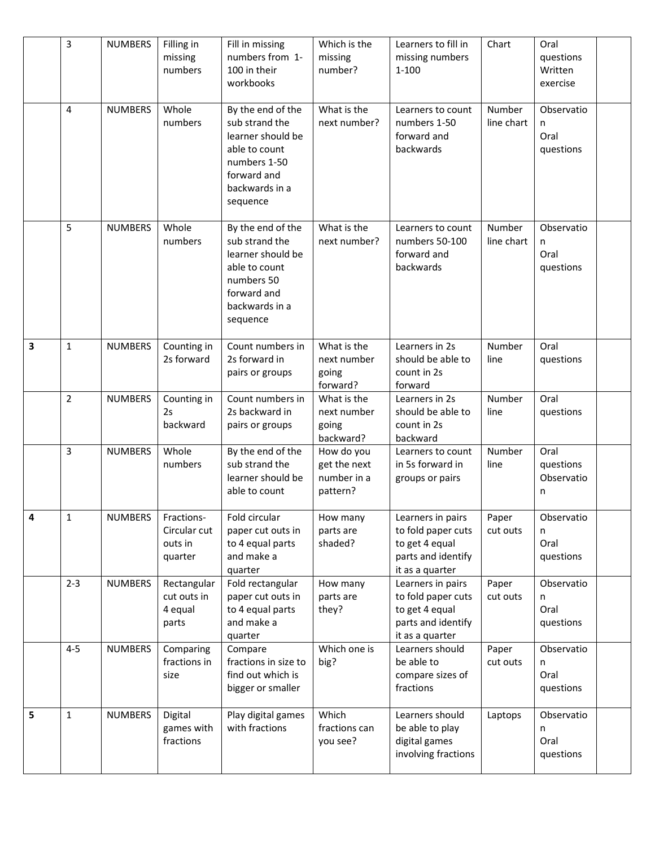|              | 3              | <b>NUMBERS</b> | Filling in<br>missing<br>numbers                 | Fill in missing<br>numbers from 1-<br>100 in their<br>workbooks                                                                        | Which is the<br>missing<br>number?                    | Learners to fill in<br>missing numbers<br>$1 - 100$                                                | Chart                | Oral<br>questions<br>Written<br>exercise |  |
|--------------|----------------|----------------|--------------------------------------------------|----------------------------------------------------------------------------------------------------------------------------------------|-------------------------------------------------------|----------------------------------------------------------------------------------------------------|----------------------|------------------------------------------|--|
|              | $\overline{4}$ | <b>NUMBERS</b> | Whole<br>numbers                                 | By the end of the<br>sub strand the<br>learner should be<br>able to count<br>numbers 1-50<br>forward and<br>backwards in a<br>sequence | What is the<br>next number?                           | Learners to count<br>numbers 1-50<br>forward and<br>backwards                                      | Number<br>line chart | Observatio<br>n<br>Oral<br>questions     |  |
|              | 5              | <b>NUMBERS</b> | Whole<br>numbers                                 | By the end of the<br>sub strand the<br>learner should be<br>able to count<br>numbers 50<br>forward and<br>backwards in a<br>sequence   | What is the<br>next number?                           | Learners to count<br>numbers 50-100<br>forward and<br>backwards                                    | Number<br>line chart | Observatio<br>n<br>Oral<br>questions     |  |
| 3            | $\mathbf{1}$   | <b>NUMBERS</b> | Counting in<br>2s forward                        | Count numbers in<br>2s forward in<br>pairs or groups                                                                                   | What is the<br>next number<br>going<br>forward?       | Learners in 2s<br>should be able to<br>count in 2s<br>forward                                      | Number<br>line       | Oral<br>questions                        |  |
|              | $\overline{2}$ | <b>NUMBERS</b> | Counting in<br>2s<br>backward                    | Count numbers in<br>2s backward in<br>pairs or groups                                                                                  | What is the<br>next number<br>going<br>backward?      | Learners in 2s<br>should be able to<br>count in 2s<br>backward                                     | Number<br>line       | Oral<br>questions                        |  |
|              | 3              | <b>NUMBERS</b> | Whole<br>numbers                                 | By the end of the<br>sub strand the<br>learner should be<br>able to count                                                              | How do you<br>get the next<br>number in a<br>pattern? | Learners to count<br>in 5s forward in<br>groups or pairs                                           | Number<br>line       | Oral<br>questions<br>Observatio<br>n     |  |
| $\mathbf{A}$ | $\mathbf 1$    | NUMBERS        | Fractions-<br>Circular cut<br>outs in<br>quarter | Fold circular<br>paper cut outs in<br>to 4 equal parts<br>and make a<br>quarter                                                        | How many<br>parts are<br>shaded?                      | Learners in pairs<br>to fold paper cuts<br>to get 4 equal<br>parts and identify<br>it as a quarter | Paper<br>cut outs    | Observatio<br>n<br>Oral<br>questions     |  |
|              | $2 - 3$        | <b>NUMBERS</b> | Rectangular<br>cut outs in<br>4 equal<br>parts   | Fold rectangular<br>paper cut outs in<br>to 4 equal parts<br>and make a<br>quarter                                                     | How many<br>parts are<br>they?                        | Learners in pairs<br>to fold paper cuts<br>to get 4 equal<br>parts and identify<br>it as a quarter | Paper<br>cut outs    | Observatio<br>n<br>Oral<br>questions     |  |
|              | $4 - 5$        | <b>NUMBERS</b> | Comparing<br>fractions in<br>size                | Compare<br>fractions in size to<br>find out which is<br>bigger or smaller                                                              | Which one is<br>big?                                  | Learners should<br>be able to<br>compare sizes of<br>fractions                                     | Paper<br>cut outs    | Observatio<br>n<br>Oral<br>questions     |  |
| 5            | $\mathbf{1}$   | <b>NUMBERS</b> | Digital<br>games with<br>fractions               | Play digital games<br>with fractions                                                                                                   | Which<br>fractions can<br>you see?                    | Learners should<br>be able to play<br>digital games<br>involving fractions                         | Laptops              | Observatio<br>n<br>Oral<br>questions     |  |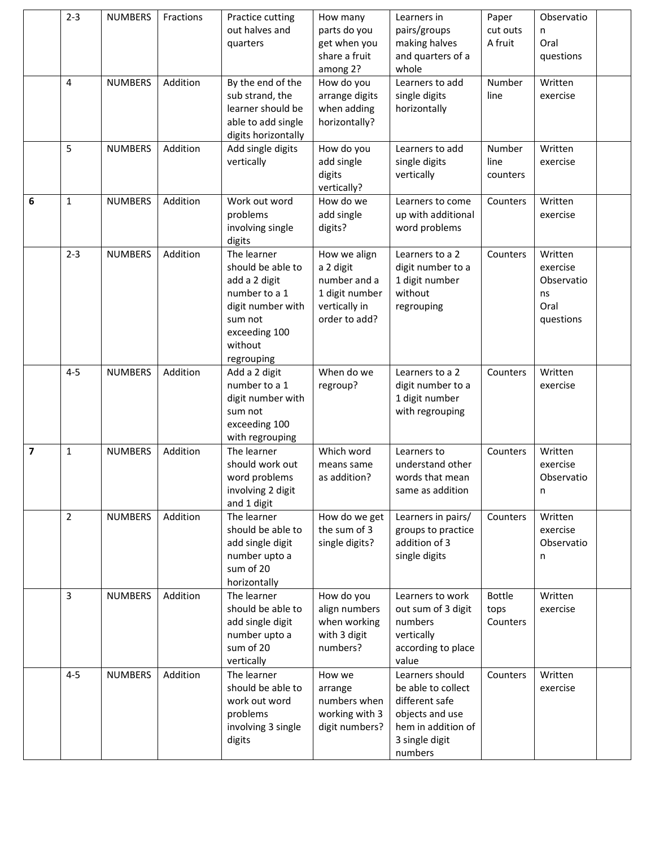|                         | $2 - 3$        | <b>NUMBERS</b> | Fractions | Practice cutting<br>out halves and<br>quarters                                                                                               | How many<br>parts do you<br>get when you<br>share a fruit<br>among 2?                         | Learners in<br>pairs/groups<br>making halves<br>and quarters of a<br>whole                                                    | Paper<br>cut outs<br>A fruit      | Observatio<br>n<br>Oral<br>questions                         |  |
|-------------------------|----------------|----------------|-----------|----------------------------------------------------------------------------------------------------------------------------------------------|-----------------------------------------------------------------------------------------------|-------------------------------------------------------------------------------------------------------------------------------|-----------------------------------|--------------------------------------------------------------|--|
|                         | 4              | <b>NUMBERS</b> | Addition  | By the end of the<br>sub strand, the<br>learner should be<br>able to add single<br>digits horizontally                                       | How do you<br>arrange digits<br>when adding<br>horizontally?                                  | Learners to add<br>single digits<br>horizontally                                                                              | Number<br>line                    | Written<br>exercise                                          |  |
|                         | 5              | <b>NUMBERS</b> | Addition  | Add single digits<br>vertically                                                                                                              | How do you<br>add single<br>digits<br>vertically?                                             | Learners to add<br>single digits<br>vertically                                                                                | Number<br>line<br>counters        | Written<br>exercise                                          |  |
| 6                       | $\mathbf{1}$   | <b>NUMBERS</b> | Addition  | Work out word<br>problems<br>involving single<br>digits                                                                                      | How do we<br>add single<br>digits?                                                            | Learners to come<br>up with additional<br>word problems                                                                       | Counters                          | Written<br>exercise                                          |  |
|                         | $2 - 3$        | <b>NUMBERS</b> | Addition  | The learner<br>should be able to<br>add a 2 digit<br>number to a 1<br>digit number with<br>sum not<br>exceeding 100<br>without<br>regrouping | How we align<br>a 2 digit<br>number and a<br>1 digit number<br>vertically in<br>order to add? | Learners to a 2<br>digit number to a<br>1 digit number<br>without<br>regrouping                                               | Counters                          | Written<br>exercise<br>Observatio<br>ns<br>Oral<br>questions |  |
|                         | $4 - 5$        | <b>NUMBERS</b> | Addition  | Add a 2 digit<br>number to a 1<br>digit number with<br>sum not<br>exceeding 100<br>with regrouping                                           | When do we<br>regroup?                                                                        | Learners to a 2<br>digit number to a<br>1 digit number<br>with regrouping                                                     | Counters                          | Written<br>exercise                                          |  |
| $\overline{\mathbf{z}}$ | $\mathbf{1}$   | <b>NUMBERS</b> | Addition  | The learner<br>should work out<br>word problems<br>involving 2 digit<br>and 1 digit                                                          | Which word<br>means same<br>as addition?                                                      | Learners to<br>understand other<br>words that mean<br>same as addition                                                        | Counters                          | Written<br>exercise<br>Observatio<br>n                       |  |
|                         | $\overline{2}$ | <b>NUMBERS</b> | Addition  | The learner<br>should be able to<br>add single digit<br>number upto a<br>sum of 20<br>horizontally                                           | How do we get<br>the sum of 3<br>single digits?                                               | Learners in pairs/<br>groups to practice<br>addition of 3<br>single digits                                                    | Counters                          | Written<br>exercise<br>Observatio<br>n                       |  |
|                         | 3              | <b>NUMBERS</b> | Addition  | The learner<br>should be able to<br>add single digit<br>number upto a<br>sum of 20<br>vertically                                             | How do you<br>align numbers<br>when working<br>with 3 digit<br>numbers?                       | Learners to work<br>out sum of 3 digit<br>numbers<br>vertically<br>according to place<br>value                                | <b>Bottle</b><br>tops<br>Counters | Written<br>exercise                                          |  |
|                         | $4 - 5$        | <b>NUMBERS</b> | Addition  | The learner<br>should be able to<br>work out word<br>problems<br>involving 3 single<br>digits                                                | How we<br>arrange<br>numbers when<br>working with 3<br>digit numbers?                         | Learners should<br>be able to collect<br>different safe<br>objects and use<br>hem in addition of<br>3 single digit<br>numbers | Counters                          | Written<br>exercise                                          |  |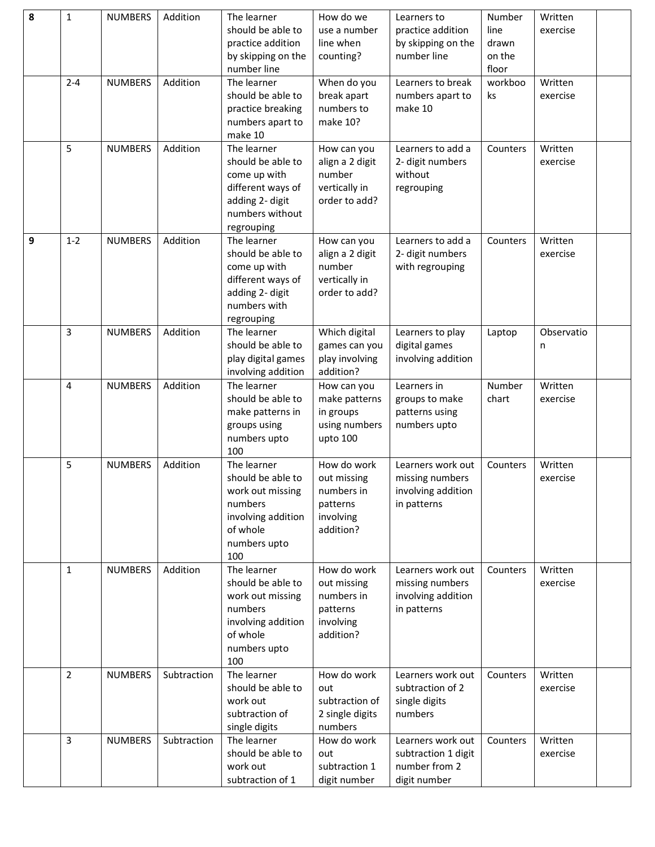| 8 | $\mathbf{1}$   | <b>NUMBERS</b> | Addition    | The learner<br>should be able to<br>practice addition<br>by skipping on the<br>number line                                | How do we<br>use a number<br>line when<br>counting?                            | Learners to<br>practice addition<br>by skipping on the<br>number line     | Number<br>line<br>drawn<br>on the<br>floor | Written<br>exercise |  |
|---|----------------|----------------|-------------|---------------------------------------------------------------------------------------------------------------------------|--------------------------------------------------------------------------------|---------------------------------------------------------------------------|--------------------------------------------|---------------------|--|
|   | $2 - 4$        | <b>NUMBERS</b> | Addition    | The learner<br>should be able to<br>practice breaking<br>numbers apart to<br>make 10                                      | When do you<br>break apart<br>numbers to<br>make 10?                           | Learners to break<br>numbers apart to<br>make 10                          | workboo<br>ks                              | Written<br>exercise |  |
|   | 5              | <b>NUMBERS</b> | Addition    | The learner<br>should be able to<br>come up with<br>different ways of<br>adding 2- digit<br>numbers without<br>regrouping | How can you<br>align a 2 digit<br>number<br>vertically in<br>order to add?     | Learners to add a<br>2- digit numbers<br>without<br>regrouping            | Counters                                   | Written<br>exercise |  |
| 9 | $1 - 2$        | <b>NUMBERS</b> | Addition    | The learner<br>should be able to<br>come up with<br>different ways of<br>adding 2- digit<br>numbers with<br>regrouping    | How can you<br>align a 2 digit<br>number<br>vertically in<br>order to add?     | Learners to add a<br>2- digit numbers<br>with regrouping                  | Counters                                   | Written<br>exercise |  |
|   | 3              | <b>NUMBERS</b> | Addition    | The learner<br>should be able to<br>play digital games<br>involving addition                                              | Which digital<br>games can you<br>play involving<br>addition?                  | Learners to play<br>digital games<br>involving addition                   | Laptop                                     | Observatio<br>n     |  |
|   | 4              | <b>NUMBERS</b> | Addition    | The learner<br>should be able to<br>make patterns in<br>groups using<br>numbers upto<br>100                               | How can you<br>make patterns<br>in groups<br>using numbers<br>upto 100         | Learners in<br>groups to make<br>patterns using<br>numbers upto           | Number<br>chart                            | Written<br>exercise |  |
|   | 5              | <b>NUMBERS</b> | Addition    | The learner<br>should be able to<br>work out missing<br>numbers<br>involving addition<br>of whole<br>numbers upto<br>100  | How do work<br>out missing<br>numbers in<br>patterns<br>involving<br>addition? | Learners work out<br>missing numbers<br>involving addition<br>in patterns | Counters                                   | Written<br>exercise |  |
|   | 1              | <b>NUMBERS</b> | Addition    | The learner<br>should be able to<br>work out missing<br>numbers<br>involving addition<br>of whole<br>numbers upto<br>100  | How do work<br>out missing<br>numbers in<br>patterns<br>involving<br>addition? | Learners work out<br>missing numbers<br>involving addition<br>in patterns | Counters                                   | Written<br>exercise |  |
|   | $\overline{2}$ | <b>NUMBERS</b> | Subtraction | The learner<br>should be able to<br>work out<br>subtraction of<br>single digits                                           | How do work<br>out<br>subtraction of<br>2 single digits<br>numbers             | Learners work out<br>subtraction of 2<br>single digits<br>numbers         | Counters                                   | Written<br>exercise |  |
|   | 3              | <b>NUMBERS</b> | Subtraction | The learner<br>should be able to<br>work out<br>subtraction of 1                                                          | How do work<br>out<br>subtraction 1<br>digit number                            | Learners work out<br>subtraction 1 digit<br>number from 2<br>digit number | Counters                                   | Written<br>exercise |  |